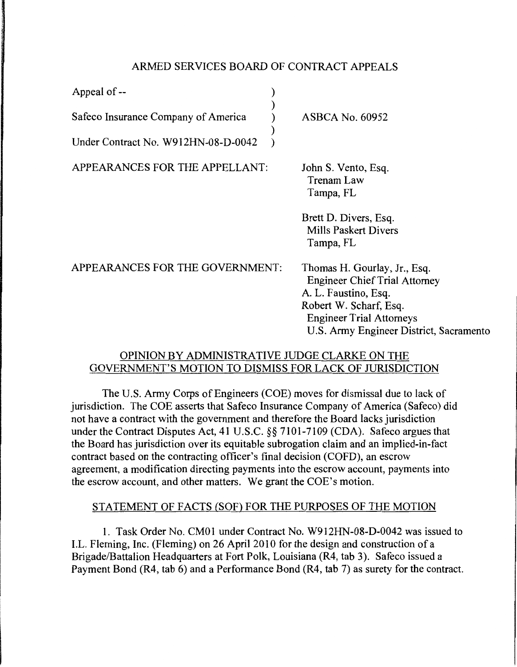# ARMED SERVICES BOARD OF CONTRACT APPEALS

| Appeal of --                                     |                                                                                                                                                                                                      |
|--------------------------------------------------|------------------------------------------------------------------------------------------------------------------------------------------------------------------------------------------------------|
| Safeco Insurance Company of America              | <b>ASBCA No. 60952</b>                                                                                                                                                                               |
| Under Contract No. W912HN-08-D-0042              |                                                                                                                                                                                                      |
| APPEARANCES FOR THE APPELLANT:                   | John S. Vento, Esq.<br><b>Trenam Law</b><br>Tampa, FL                                                                                                                                                |
|                                                  | Brett D. Divers, Esq.<br><b>Mills Paskert Divers</b><br>Tampa, FL                                                                                                                                    |
| APPEARANCES FOR THE GOVERNMENT:                  | Thomas H. Gourlay, Jr., Esq.<br><b>Engineer Chief Trial Attorney</b><br>A. L. Faustino, Esq.<br>Robert W. Scharf, Esq.<br><b>Engineer Trial Attorneys</b><br>U.S. Army Engineer District, Sacramento |
| ODINION DV ADMINICTD ATIVE II IDCE CLADVE ON THE |                                                                                                                                                                                                      |

### ADMINISTRATIVE JUDGE CLARKE ON GOVERNMENT'S MOTION TO DISMISS FOR LACK OF JURISDICTION

The U.S. Army Corps of Engineers (COE) moves for dismissal due to lack of jurisdiction. The COE asserts that Safeco Insurance Company of America (Safeco) did not have a contract with the government and therefore the Board lacks jurisdiction under the Contract Disputes Act, 41 U.S.C. §§ 7101-7109 (CDA). Safeco argues that the Board has jurisdiction over its equitable subrogation claim and an implied-in-fact contract based on the contracting officer's final decision (COFD), an escrow agreement, a modification directing payments into the escrow account, payments into the escrow account, and other matters. We grant the COE's motion.

# STATEMENT OF FACTS (SOF) FOR THE PURPOSES OF THE MOTION

1. Task Order No. CMOl under Contract No. W912HN-08-D-0042 was issued to LL. Fleming, Inc. (Fleming) on 26 April 2010 for the design and construction of a Brigade/Battalion Headquarters at Fort Polk, Louisiana (R4, tab 3). Safeco issued a Payment Bond (R4, tab 6) and a Performance Bond (R4, tab 7) as surety for the contract.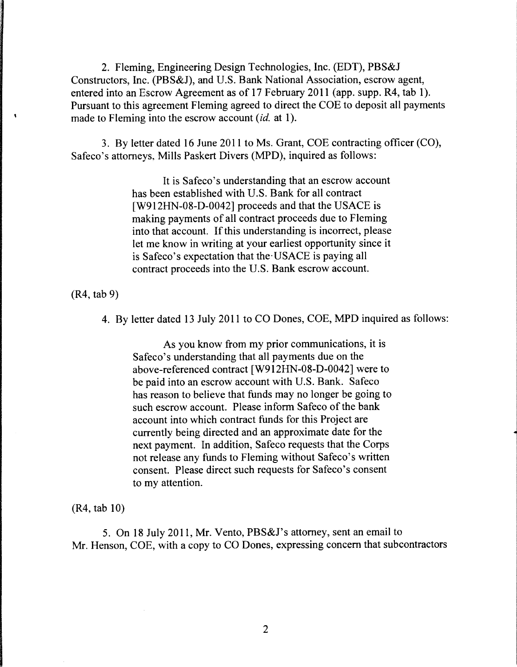2. Fleming, Engineering Design Technologies, Inc. (EDT), PBS&J Constructors, Inc. (PBS&J), and U.S. Bank National Association, escrow agent, entered into an Escrow Agreement as of 17 February 2011 (app. supp. R4, tab 1). Pursuant to this agreement Fleming agreed to direct the COE to deposit all payments made to Fleming into the escrow account *(id.* at 1).

3. By letter dated 16 June 2011 to Ms. Grant, COE contracting officer (CO), Safeco's attorneys, Mills Paskert Divers (MPD), inquired as follows:

> It is Safeco's understanding that an escrow account has been established with U.S. Bank for all contract [W912HN-08-D-0042] proceeds and that the USACE is making payments of all contract proceeds due to Fleming into that account. If this understanding is incorrect, please let me know in writing at your earliest opportunity since it is Safeco's expectation that the· USACE is paying all contract proceeds into the U.S. Bank escrow account.

(R4, tab 9)

4. By letter dated 13 July 2011 to CO Dones, COE, MPD inquired as follows:

As you know from my prior communications, it is Safeco's understanding that all payments due on the above-referenced contract [W912HN-08-D-0042] were to be paid into an escrow account with U.S. Bank. Safeco has reason to believe that funds may no longer be going to such escrow account. Please inform Safeco of the bank account into which contract funds for this Project are currently being directed and an approximate date for the next payment. In addition, Safeco requests that the Corps not release any funds to Fleming without Safeco's written consent. Please direct such requests for Safeco's consent to my attention.

(R4, tab 10)

5. On 18 July 2011, Mr. Vento, PBS&J's attorney, sent an email to Mr. Henson, COE, with a copy to CO Dones, expressing concern that subcontractors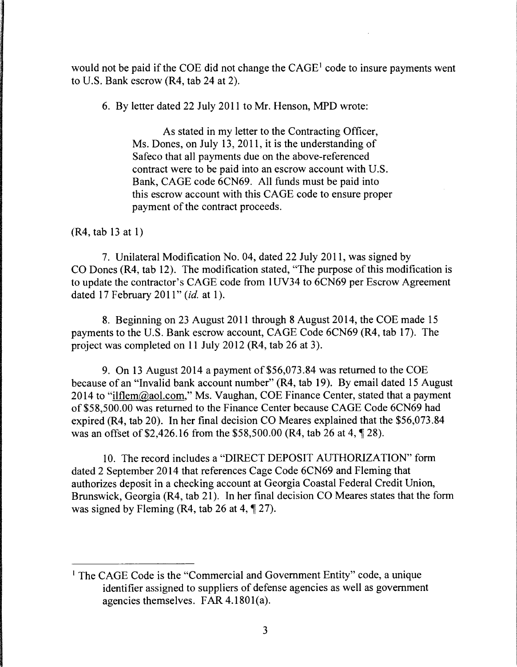would not be paid if the COE did not change the  $CAGE<sup>1</sup>$  code to insure payments went to U.S. Bank escrow (R4, tab 24 at 2).

6. By letter dated 22 July 2011 to Mr. Henson, MPD wrote:

As stated in my letter to the Contracting Officer, Ms. Dones, on July 13, 2011, it is the understanding of Safeco that all payments due on the above-referenced contract were to be paid into an escrow account with U.S. Bank, CAGE code 6CN69. All funds must be paid into this escrow account with this CAGE code to ensure proper payment of the contract proceeds.

(R4, tab 13 at 1)

7. Unilateral Modification No. 04, dated 22 July 2011, was signed by CO Dones (R4, tab 12). The modification stated, "The purpose of this modification is to update the contractor's CAGE code from 1 UV34 to 6CN69 per Escrow Agreement dated 17 February 2011" *(id.* at 1 ).

8. Beginning on 23 August 2011 through 8 August 2014, the COE made 15 payments to the U.S. Bank escrow account, CAGE Code 6CN69 (R4, tab 17). The project was completed on 11 July 2012 (R4, tab 26 at 3).

9. On 13 August 2014 a payment of \$56,073.84 was returned to the COE because of an "Invalid bank account number" (R4, tab 19). By email dated 15 August 2014 to "ilflem@aol.com," Ms. Vaughan, COE Finance Center, stated that a payment of \$58,500.00 was returned to the Finance Center because CAGE Code 6CN69 had expired (R4, tab 20). In her final decision CO Meares explained that the \$56,073.84 was an offset of \$2,426.16 from the \$58,500.00 (R4, tab 26 at 4,  $\P$  28).

10. The record includes a "DIRECT DEPOSIT AUTHORIZATION" form dated 2 September 2014 that references Cage Code 6CN69 and Fleming that authorizes deposit in a checking account at Georgia Coastal Federal Credit Union, Brunswick, Georgia (R4, tab 21). In her final decision CO Meares states that the form was signed by Fleming (R4, tab 26 at 4,  $\P$  27).

<sup>&</sup>lt;sup>1</sup> The CAGE Code is the "Commercial and Government Entity" code, a unique identifier assigned to suppliers of defense agencies as well as government agencies themselves. FAR  $4.1801(a)$ .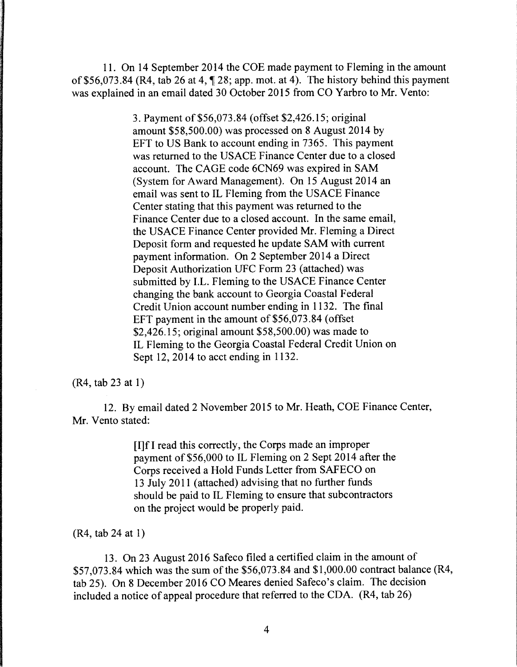11. On 14 September 2014 the COE made payment to Fleming in the amount of \$56,073.84 (R4, tab 26 at 4,  $\P$  28; app. mot. at 4). The history behind this payment was explained in an email dated 30 October 2015 from CO Yarbro to Mr. Vento:

> 3. Payment of \$56,073.84 (offset \$2,426.15; original amount \$58,500.00) was processed on 8 August 2014 by EFT to US Bank to account ending in 7365. This payment was returned to the USACE Finance Center due to a closed account. The CAGE code 6CN69 was expired in SAM (System for Award Management). On 15 August 2014 an email was sent to IL Fleming from the USACE Finance Center stating that this payment was returned to the Finance Center due to a closed account. In the same email, the USACE Finance Center provided Mr. Fleming a Direct Deposit form and requested he update SAM with current payment information. On 2 September 2014 a Direct Deposit Authorization UFC Form 23 (attached) was submitted by I.L. Fleming to the USACE Finance Center changing the bank account to Georgia Coastal Federal Credit Union account number ending in 1132. The final EFT payment in the amount of \$56,073.84 (offset \$2,426.15; original amount \$58,500.00) was made to IL Fleming to the Georgia Coastal Federal Credit Union on Sept 12, 2014 to acct ending in 1132.

(R4, tab 23 at 1)

12. By email dated 2 November 2015 to Mr. Heath, COE Finance Center, Mr. Vento stated:

> [I]f I read this correctly, the Corps made an improper payment of \$56,000 to IL Fleming on 2 Sept 2014 after the Corps received a Hold Funds Letter from SAFECO on 13 July 2011 (attached) advising that no further funds should be paid to IL Fleming to ensure that subcontractors on the project would be properly paid.

(R4, tab 24 at I)

13. On 23 August 2016 Safeco filed a certified claim in the amount of \$57,073.84 which was the sum of the \$56,073.84 and \$1,000.00 contract balance (R4, tab 25). On 8 December 2016 CO Meares denied Safeco's claim. The decision included a notice of appeal procedure that referred to the CDA. (R4, tab 26)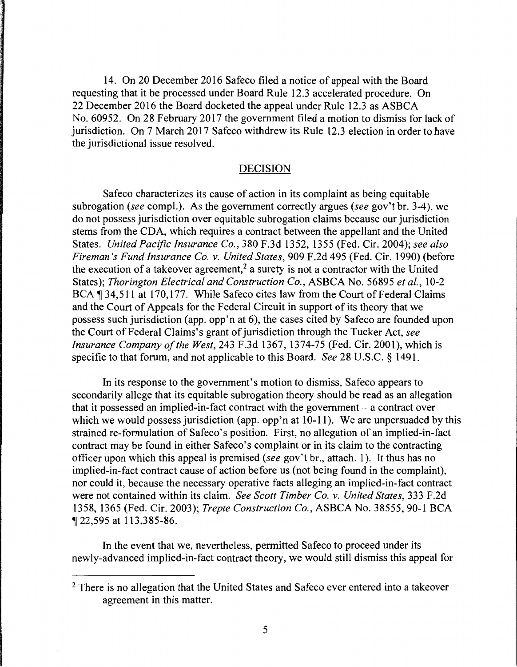14. On 20 December 2016 Safeco filed a notice of appeal with the Board requesting that it be processed under Board Rule 12.3 accelerated procedure. On 22 December 2016 the Board docketed the appeal under Rule 12.3 as ASBCA No. 60952. On 28 February 2017 the government filed a motion to dismiss for lack of jurisdiction. On 7 March 2017 Safeco withdrew its Rule 12.3 election in order to have the jurisdictional issue resolved.

#### DECISION

Safeco characterizes its cause of action in its complaint as being equitable subrogation *(see* compl.). As the government correctly argues *(see* gov't hr. 3-4), we do not possess jurisdiction over equitable subrogation claims because our jurisdiction stems from the CDA, which requires a contract between the appellant and the United States. *United Pacific Insurance Co.,* 380 F.3d 1352, 1355 (Fed. Cir. 2004); *see also Fireman's Fund Insurance Co. v. United States,* 909 F.2d 495 (Fed. Cir. 1990) (before the execution of a takeover agreement,<sup>2</sup> a surety is not a contractor with the United States); *Thorington Electrical and Construction Co.,* ASBCA No. 56895 *et al.,* 10-2 BCA ¶ 34,511 at 170,177. While Safeco cites law from the Court of Federal Claims and the Court of Appeals for the Federal Circuit in support of its theory that we possess such jurisdiction (app. opp'n at 6), the cases cited by Safeco are founded upon the Court of Federal Claims's grant of jurisdiction through the Tucker Act, *see Insurance Company of the West,* 243 F.3d 1367, 1374-75 (Fed. Cir. 2001), which is specific to that forum, and not applicable to this Board. *See* 28 U.S.C. § 1491.

In its response to the government's motion to dismiss, Safeco appears to secondarily allege that its equitable subrogation theory should be read as an allegation that it possessed an implied-in-fact contract with the government  $-$  a contract over which we would possess jurisdiction (app. opp'n at  $10-11$ ). We are unpersuaded by this strained re-formulation of Safeco's position. First, no allegation of an implied-in-fact contract may be found in either Safeco's complaint or in its claim to the contracting officer upon which this appeal is premised *(see* gov't br., attach. 1 ). It thus has no implied-in-fact contract cause of action before us (not being found in the complaint), nor could it, because the necessary operative facts alleging an implied-in-fact contract were not contained within its claim. *See Scott Timber Co.* v. *United States,* 333 F.2d 1358, 1365 (Fed. Cir. 2003); *Trepte Construction Co.,* ASBCA No. 38555, 90-1 BCA if 22,595 at 113,385-86.

In the event that we, nevertheless, permitted Safeco to proceed under its newly-advanced implied-in-fact contract theory, we would still dismiss this appeal for

<sup>&</sup>lt;sup>2</sup> There is no allegation that the United States and Safeco ever entered into a takeover agreement in this matter.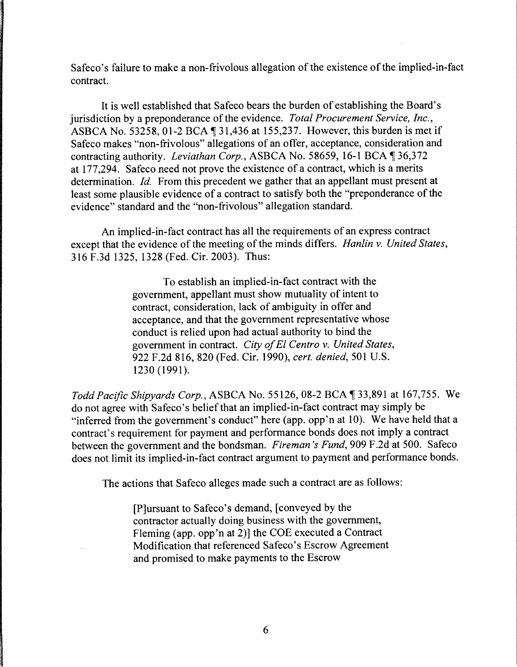Safeco's failure to make a non-frivolous allegation of the existence of the implied-in-fact contract.

It is well established that Safeco bears the burden of establishing the Board's jurisdiction by a preponderance of the evidence. *Total Procurement Service, Inc.,*  ASBCA No. 53258, 01-2 BCA  $\P$  31,436 at 155,237. However, this burden is met if Safeco makes "non-frivolous" allegations of an offer, acceptance, consideration and contracting authority. *Leviathan Corp.*, ASBCA No. 58659, 16-1 BCA 1 36,372 at 177,294. Safeco need not prove the existence of a contract, which is a merits determination. *Id.* From this precedent we gather that an appellant must present at least some plausible evidence of a contract to satisfy both the "preponderance of the evidence" standard and the "non-frivolous" allegation standard.

An implied-in-fact contract has all the requirements of an express contract except that the evidence of the meeting of the minds differs. *Hanlin* v. *United States,*  316 F.3d 1325, 1328 (Fed. Cir. 2003). Thus:

> To establish an implied-in-fact contract with the government, appellant must show mutuality of intent to contract, consideration, lack of ambiguity in offer and acceptance, and that the government representative whose conduct is relied upon had actual authority to bind the government in contract. *City of El Centro* v. *United States,*  922 F.2d 816, 820 (Fed. Cir. 1990), *cert. denied,* 501 U.S. 1230 (1991).

*Todd Pacific Shipyards Corp., ASBCA No.* 55126, 08-2 BCA ¶ 33,891 at 167,755. We do not agree with Safeco's belief that an implied-in-fact contract may simply be "inferred from the government's conduct" here (app. opp'n at 10). We have held that a contract's requirement for payment and performance bonds does not imply a contract between the government and the bondsman. *Fireman's Fund,* 909 F.2d at 500. Safeco does not limit its implied-in-fact contract argument to payment and performance bonds.

The actions that Safeco alleges made such a contract are as follows:

[P]ursuant to Safeco's demand, [conveyed by the contractor actually doing business with the government, Fleming (app. opp'n at 2)] the COE executed a Contract Modification that referenced Safeco's Escrow Agreement and promised to make payments to the Escrow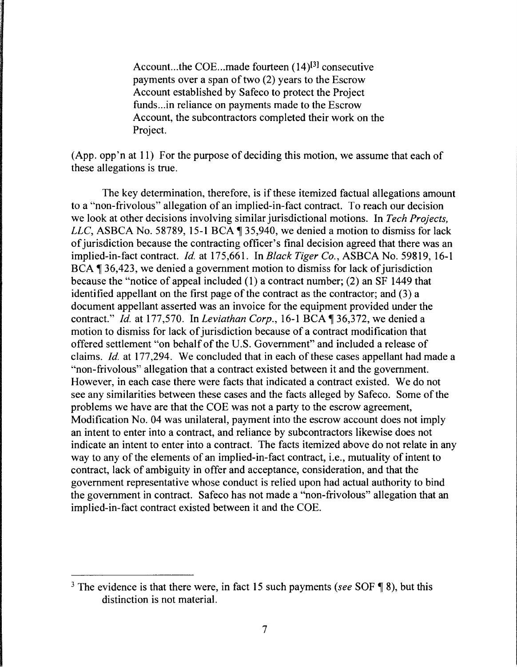Account...the COE...made fourteen  $(14)^{[3]}$  consecutive payments over a span of two (2) years to the Escrow Account established by Safeco to protect the Project funds... in reliance on payments made to the Escrow Account, the subcontractors completed their work on the Project.

(App. opp'n at 11) For the purpose of deciding this motion, we assume that each of these allegations is true.

The key determination, therefore, is if these itemized factual allegations amount to a "non-frivolous" allegation of an implied-in-fact contract. To reach our decision we look at other decisions involving similar jurisdictional motions. In *Tech Projects, LLC*, ASBCA No. 58789, 15-1 BCA 1 35,940, we denied a motion to dismiss for lack of jurisdiction because the contracting officer's final decision agreed that there was an implied-in-fact contract. *Id.* at 175,661. In *Black Tiger Co.,* ASBCA No. 59819, 16-1 BCA  $\parallel$  36,423, we denied a government motion to dismiss for lack of jurisdiction because the "notice of appeal included (1) a contract number; (2) an SF 1449 that identified appellant on the first page of the contract as the contractor; and (3) a document appellant asserted was an invoice for the equipment provided under the contract." *Id.* at 177,570. In *Leviathan Corp.*, 16-1 BCA ¶ 36,372, we denied a motion to dismiss for lack of jurisdiction because of a contract modification that offered settlement "on behalf of the U.S. Government" and included a release of claims. *Id.* at 177,294. We concluded that in each of these cases appellant had made a "non-frivolous" allegation that a contract existed between it and the government. However, in each case there were facts that indicated a contract existed. We do not see any similarities between these cases and the facts alleged by Safeco. Some of the problems we have are that the COE was not a party to the escrow agreement, Modification No. 04 was unilateral, payment into the escrow account does not imply an intent to enter into a contract, and reliance by subcontractors likewise does not indicate an intent to enter into a contract. The facts itemized above do not relate in any way to any of the elements of an implied-in-fact contract, i.e., mutuality of intent to contract, lack of ambiguity in offer and acceptance, consideration, and that the government representative whose conduct is relied upon had actual authority to bind the government in contract. Safeco has not made a "non-frivolous" allegation that an implied-in-fact contract existed between it and the COE.

<sup>&</sup>lt;sup>3</sup> The evidence is that there were, in fact 15 such payments *(see* SOF  $\P$  8), but this distinction is not material.